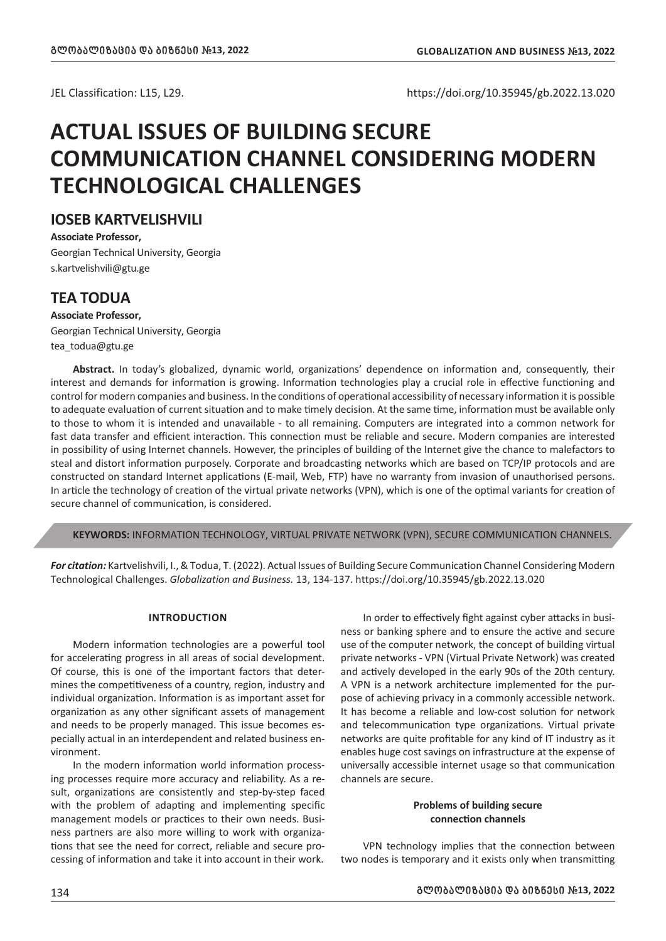JEL Classification: L15, L29. https://doi.org/10.35945/gb.2022.13.020

# **ACTUAL ISSUES OF BUILDING SECURE COMMUNICATION CHANNEL CONSIDERING MODERN TECHNOLOGICAL CHALLENGES**

# **IOSEB KARTVELISHVILI**

**Associate Professor,** Georgian Technical University, Georgia s.kartvelishvili@gtu.ge

# **TEA TODUA**

## **Associate Professor,**

Georgian Technical University, Georgia tea\_todua@gtu.ge

**Abstract.** In today's globalized, dynamic world, organizations' dependence on information and, consequently, their interest and demands for information is growing. Information technologies play a crucial role in effective functioning and control for modern companies and business. In the conditions of operational accessibility of necessary information it is possible to adequate evaluation of current situation and to make timely decision. At the same time, information must be available only to those to whom it is intended and unavailable - to all remaining. Computers are integrated into a common network for fast data transfer and efficient interaction. This connection must be reliable and secure. Modern companies are interested in possibility of using Internet channels. However, the principles of building of the Internet give the chance to malefactors to steal and distort information purposely. Corporate and broadcasting networks which are based on TCP/IP protocols and are constructed on standard Internet applications (E-mail, Web, FTP) have no warranty from invasion of unauthorised persons. In article the technology of creation of the virtual private networks (VPN), which is one of the optimal variants for creation of secure channel of communication, is considered.

**KEYWORDS:** INFORMATION TECHNOLOGY, VIRTUAL PRIVATE NETWORK (VPN), SECURE COMMUNICATION CHANNELS.

*For citation:* Kartvelishvili, I., & Todua, T. (2022). Actual Issues of Building Secure Communication Channel Considering Modern Technological Challenges. *Globalization and Business.* 13, 134-137. https://doi.org/10.35945/gb.2022.13.020

## **INTRODUCTION**

Modern information technologies are a powerful tool for accelerating progress in all areas of social development. Of course, this is one of the important factors that determines the competitiveness of a country, region, industry and individual organization. Information is as important asset for organization as any other significant assets of management and needs to be properly managed. This issue becomes especially actual in an interdependent and related business environment.

In the modern information world information processing processes require more accuracy and reliability. As a result, organizations are consistently and step-by-step faced with the problem of adapting and implementing specific management models or practices to their own needs. Business partners are also more willing to work with organizations that see the need for correct, reliable and secure processing of information and take it into account in their work.

In order to effectively fight against cyber attacks in business or banking sphere and to ensure the active and secure use of the computer network, the concept of building virtual private networks - VPN (Virtual Private Network) was created and actively developed in the early 90s of the 20th century. A VPN is a network architecture implemented for the purpose of achieving privacy in a commonly accessible network. It has become a reliable and low-cost solution for network and telecommunication type organizations. Virtual private networks are quite profitable for any kind of IT industry as it enables huge cost savings on infrastructure at the expense of universally accessible internet usage so that communication channels are secure.

## **Problems of building secure connection channels**

VPN technology implies that the connection between two nodes is temporary and it exists only when transmitting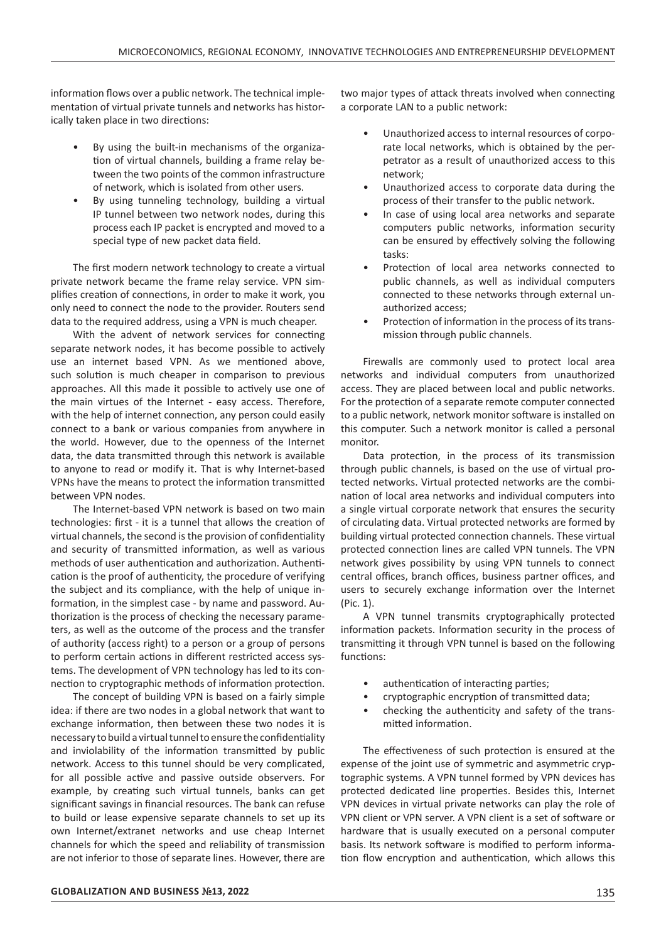information flows over a public network. The technical implementation of virtual private tunnels and networks has historically taken place in two directions:

- By using the built-in mechanisms of the organization of virtual channels, building a frame relay between the two points of the common infrastructure of network, which is isolated from other users.
- By using tunneling technology, building a virtual IP tunnel between two network nodes, during this process each IP packet is encrypted and moved to a special type of new packet data field.

The first modern network technology to create a virtual private network became the frame relay service. VPN simplifies creation of connections, in order to make it work, you only need to connect the node to the provider. Routers send data to the required address, using a VPN is much cheaper.

With the advent of network services for connecting separate network nodes, it has become possible to actively use an internet based VPN. As we mentioned above, such solution is much cheaper in comparison to previous approaches. All this made it possible to actively use one of the main virtues of the Internet - easy access. Therefore, with the help of internet connection, any person could easily connect to a bank or various companies from anywhere in the world. However, due to the openness of the Internet data, the data transmitted through this network is available to anyone to read or modify it. That is why Internet-based VPNs have the means to protect the information transmitted between VPN nodes.

The Internet-based VPN network is based on two main technologies: first - it is a tunnel that allows the creation of virtual channels, the second is the provision of confidentiality and security of transmitted information, as well as various methods of user authentication and authorization. Authentication is the proof of authenticity, the procedure of verifying the subject and its compliance, with the help of unique information, in the simplest case - by name and password. Authorization is the process of checking the necessary parameters, as well as the outcome of the process and the transfer of authority (access right) to a person or a group of persons to perform certain actions in different restricted access systems. The development of VPN technology has led to its connection to cryptographic methods of information protection.

The concept of building VPN is based on a fairly simple idea: if there are two nodes in a global network that want to exchange information, then between these two nodes it is necessary to build a virtual tunnel to ensure the confidentiality and inviolability of the information transmitted by public network. Access to this tunnel should be very complicated, for all possible active and passive outside observers. For example, by creating such virtual tunnels, banks can get significant savings in financial resources. The bank can refuse to build or lease expensive separate channels to set up its own Internet/extranet networks and use cheap Internet channels for which the speed and reliability of transmission are not inferior to those of separate lines. However, there are

two major types of attack threats involved when connecting a corporate LAN to a public network:

- Unauthorized access to internal resources of corporate local networks, which is obtained by the perpetrator as a result of unauthorized access to this network;
- Unauthorized access to corporate data during the process of their transfer to the public network.
- In case of using local area networks and separate computers public networks, information security can be ensured by effectively solving the following tasks:
- Protection of local area networks connected to public channels, as well as individual computers connected to these networks through external unauthorized access;
- Protection of information in the process of its transmission through public channels.

Firewalls are commonly used to protect local area networks and individual computers from unauthorized access. They are placed between local and public networks. For the protection of a separate remote computer connected to a public network, network monitor software is installed on this computer. Such a network monitor is called a personal monitor.

Data protection, in the process of its transmission through public channels, is based on the use of virtual protected networks. Virtual protected networks are the combination of local area networks and individual computers into a single virtual corporate network that ensures the security of circulating data. Virtual protected networks are formed by building virtual protected connection channels. These virtual protected connection lines are called VPN tunnels. The VPN network gives possibility by using VPN tunnels to connect central offices, branch offices, business partner offices, and users to securely exchange information over the Internet (Pic. 1).

A VPN tunnel transmits cryptographically protected information packets. Information security in the process of transmitting it through VPN tunnel is based on the following functions:

- authentication of interacting parties;
- cryptographic encryption of transmitted data;
- checking the authenticity and safety of the transmitted information.

The effectiveness of such protection is ensured at the expense of the joint use of symmetric and asymmetric cryptographic systems. A VPN tunnel formed by VPN devices has protected dedicated line properties. Besides this, Internet VPN devices in virtual private networks can play the role of VPN client or VPN server. A VPN client is a set of software or hardware that is usually executed on a personal computer basis. Its network software is modified to perform information flow encryption and authentication, which allows this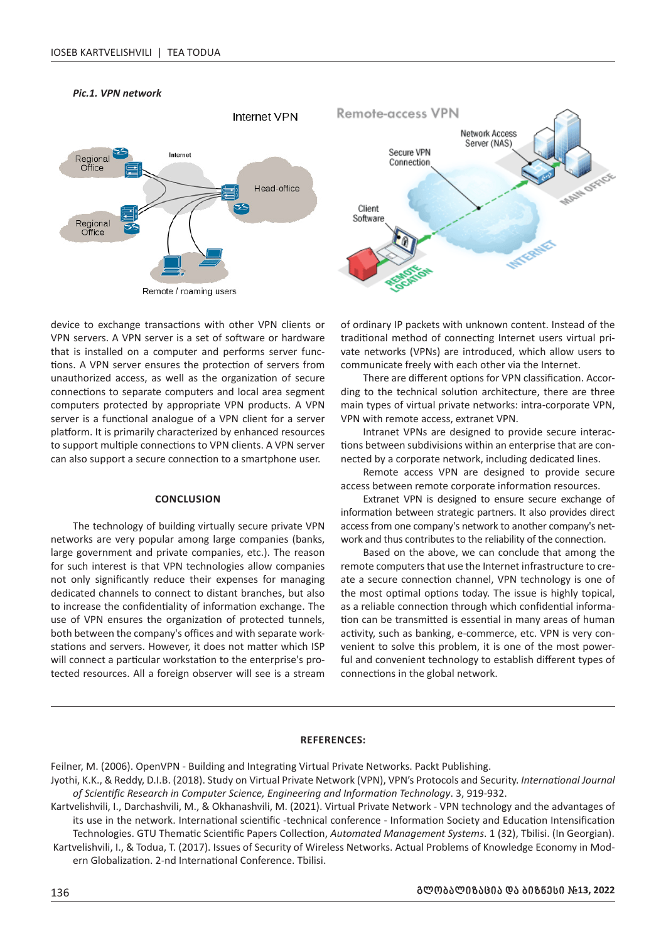

#### *Pic.1. VPN network*

device to exchange transactions with other VPN clients or VPN servers. A VPN server is a set of software or hardware that is installed on a computer and performs server functions. A VPN server ensures the protection of servers from unauthorized access, as well as the organization of secure connections to separate computers and local area segment computers protected by appropriate VPN products. A VPN server is a functional analogue of a VPN client for a server platform. It is primarily characterized by enhanced resources to support multiple connections to VPN clients. A VPN server can also support a secure connection to a smartphone user.

#### **CONCLUSION**

The technology of building virtually secure private VPN networks are very popular among large companies (banks, large government and private companies, etc.). The reason for such interest is that VPN technologies allow companies not only significantly reduce their expenses for managing dedicated channels to connect to distant branches, but also to increase the confidentiality of information exchange. The use of VPN ensures the organization of protected tunnels, both between the company's offices and with separate workstations and servers. However, it does not matter which ISP will connect a particular workstation to the enterprise's protected resources. All a foreign observer will see is a stream

of ordinary IP packets with unknown content. Instead of the traditional method of connecting Internet users virtual private networks (VPNs) are introduced, which allow users to communicate freely with each other via the Internet.

There are different options for VPN classification. According to the technical solution architecture, there are three main types of virtual private networks: intra-corporate VPN, VPN with remote access, extranet VPN.

Intranet VPNs are designed to provide secure interactions between subdivisions within an enterprise that are connected by a corporate network, including dedicated lines.

Remote access VPN are designed to provide secure access between remote corporate information resources.

Extranet VPN is designed to ensure secure exchange of information between strategic partners. It also provides direct access from one company's network to another company's network and thus contributes to the reliability of the connection.

Based on the above, we can conclude that among the remote computers that use the Internet infrastructure to create a secure connection channel, VPN technology is one of the most optimal options today. The issue is highly topical, as a reliable connection through which confidential information can be transmitted is essential in many areas of human activity, such as banking, e-commerce, etc. VPN is very convenient to solve this problem, it is one of the most powerful and convenient technology to establish different types of connections in the global network.

#### **REFERENCES:**

Feilner, M. (2006). OpenVPN - Building and Integrating Virtual Private Networks. Packt Publishing.

Jyothi, K.K., & Reddy, D.I.B. (2018). Study on Virtual Private Network (VPN), VPN's Protocols and Security. *International Journal of Scientific Research in Computer Science, Engineering and Information Technology*. 3, 919-932.

Kartvelishvili, I., Darchashvili, M., & Okhanashvili, M. (2021). Virtual Private Network - VPN technology and the advantages of its use in the network. International scientific -technical conference - Information Society and Education Intensification Technologies. GTU Thematic Scientific Papers Collection, *Automated Management Systems*. 1 (32), Tbilisi. (In Georgian). Kartvelishvili, I., & Todua, T. (2017). Issues of Security of Wireless Networks. Actual Problems of Knowledge Economy in Mod-

ern Globalization. 2-nd International Conference. Tbilisi.